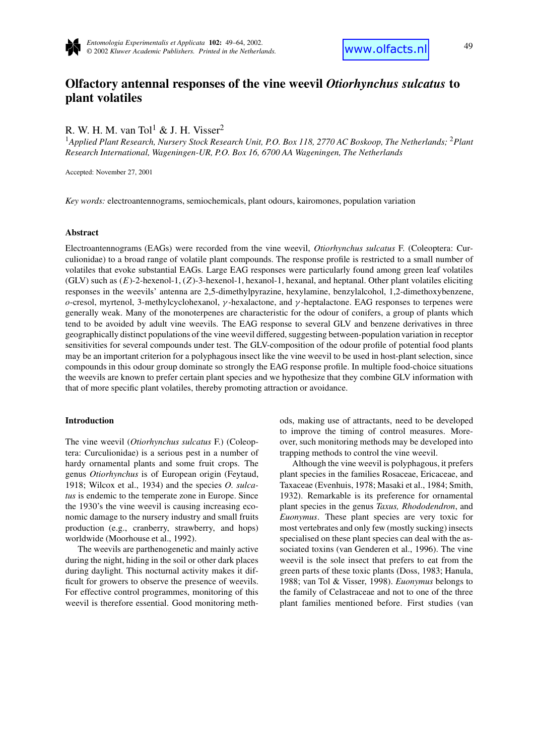

# **Olfactory antennal responses of the vine weevil** *Otiorhynchus sulcatus* **to plant volatiles**

R. W. H. M. van Tol<sup>1</sup> & J. H. Visser<sup>2</sup>

<sup>1</sup>*Applied Plant Research, Nursery Stock Research Unit, P.O. Box 118, 2770 AC Boskoop, The Netherlands;* <sup>2</sup>*Plant Research International, Wageningen-UR, P.O. Box 16, 6700 AA Wageningen, The Netherlands*

Accepted: November 27, 2001

*Key words:* electroantennograms, semiochemicals, plant odours, kairomones, population variation

# **Abstract**

Electroantennograms (EAGs) were recorded from the vine weevil, *Otiorhynchus sulcatus* F. (Coleoptera: Curculionidae) to a broad range of volatile plant compounds. The response profile is restricted to a small number of volatiles that evoke substantial EAGs. Large EAG responses were particularly found among green leaf volatiles (GLV) such as (*E*)-2-hexenol-1, (*Z*)-3-hexenol-1, hexanol-1, hexanal, and heptanal. Other plant volatiles eliciting responses in the weevils' antenna are 2,5-dimethylpyrazine, hexylamine, benzylalcohol, 1,2-dimethoxybenzene, *o*-cresol, myrtenol, 3-methylcyclohexanol, *γ* -hexalactone, and *γ* -heptalactone. EAG responses to terpenes were generally weak. Many of the monoterpenes are characteristic for the odour of conifers, a group of plants which tend to be avoided by adult vine weevils. The EAG response to several GLV and benzene derivatives in three geographically distinct populations of the vine weevil differed, suggesting between-population variation in receptor sensitivities for several compounds under test. The GLV-composition of the odour profile of potential food plants may be an important criterion for a polyphagous insect like the vine weevil to be used in host-plant selection, since compounds in this odour group dominate so strongly the EAG response profile. In multiple food-choice situations the weevils are known to prefer certain plant species and we hypothesize that they combine GLV information with that of more specific plant volatiles, thereby promoting attraction or avoidance.

#### **Introduction**

The vine weevil (*Otiorhynchus sulcatus* F.) (Coleoptera: Curculionidae) is a serious pest in a number of hardy ornamental plants and some fruit crops. The genus *Otiorhynchus* is of European origin (Feytaud, 1918; Wilcox et al., 1934) and the species *O. sulcatus* is endemic to the temperate zone in Europe. Since the 1930's the vine weevil is causing increasing economic damage to the nursery industry and small fruits production (e.g., cranberry, strawberry, and hops) worldwide (Moorhouse et al., 1992).

The weevils are parthenogenetic and mainly active during the night, hiding in the soil or other dark places during daylight. This nocturnal activity makes it difficult for growers to observe the presence of weevils. For effective control programmes, monitoring of this weevil is therefore essential. Good monitoring methods, making use of attractants, need to be developed to improve the timing of control measures. Moreover, such monitoring methods may be developed into trapping methods to control the vine weevil.

Although the vine weevil is polyphagous, it prefers plant species in the families Rosaceae, Ericaceae, and Taxaceae (Evenhuis, 1978; Masaki et al., 1984; Smith, 1932). Remarkable is its preference for ornamental plant species in the genus *Taxus, Rhododendron*, and *Euonymus*. These plant species are very toxic for most vertebrates and only few (mostly sucking) insects specialised on these plant species can deal with the associated toxins (van Genderen et al., 1996). The vine weevil is the sole insect that prefers to eat from the green parts of these toxic plants (Doss, 1983; Hanula, 1988; van Tol & Visser, 1998). *Euonymus* belongs to the family of Celastraceae and not to one of the three plant families mentioned before. First studies (van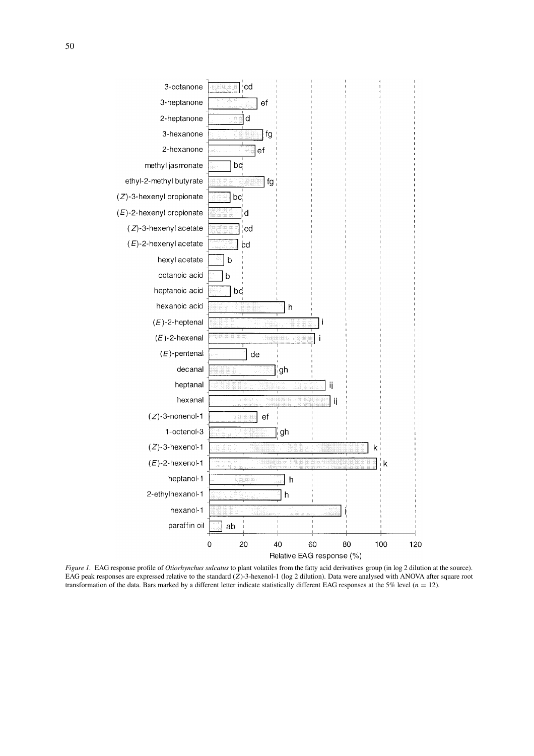

*Figure 1.* EAG response profile of *Otiorhynchus sulcatus* to plant volatiles from the fatty acid derivatives group (in log 2 dilution at the source). EAG peak responses are expressed relative to the standard (*Z*)-3-hexenol-1 (log 2 dilution). Data were analysed with ANOVA after square root transformation of the data. Bars marked by a different letter indicate statistically different EAG responses at the 5% level ( $n = 12$ ).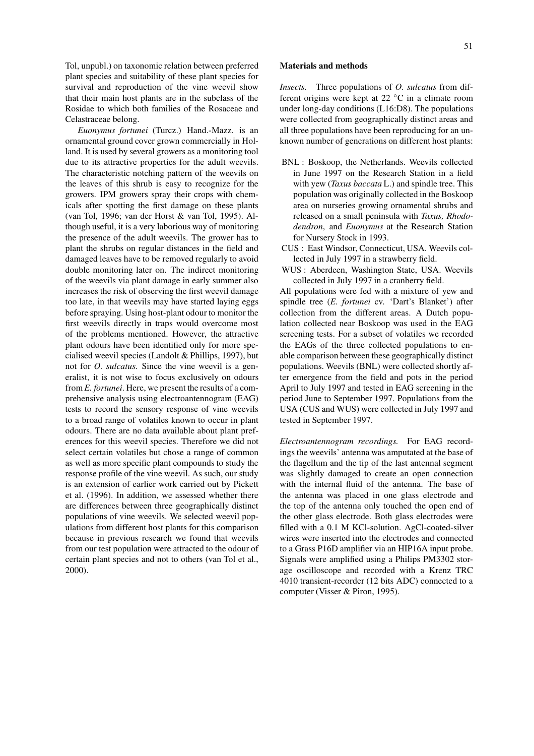Tol, unpubl.) on taxonomic relation between preferred plant species and suitability of these plant species for survival and reproduction of the vine weevil show that their main host plants are in the subclass of the Rosidae to which both families of the Rosaceae and Celastraceae belong.

*Euonymus fortunei* (Turcz.) Hand.-Mazz. is an ornamental ground cover grown commercially in Holland. It is used by several growers as a monitoring tool due to its attractive properties for the adult weevils. The characteristic notching pattern of the weevils on the leaves of this shrub is easy to recognize for the growers. IPM growers spray their crops with chemicals after spotting the first damage on these plants (van Tol, 1996; van der Horst & van Tol, 1995). Although useful, it is a very laborious way of monitoring the presence of the adult weevils. The grower has to plant the shrubs on regular distances in the field and damaged leaves have to be removed regularly to avoid double monitoring later on. The indirect monitoring of the weevils via plant damage in early summer also increases the risk of observing the first weevil damage too late, in that weevils may have started laying eggs before spraying. Using host-plant odour to monitor the first weevils directly in traps would overcome most of the problems mentioned. However, the attractive plant odours have been identified only for more specialised weevil species (Landolt & Phillips, 1997), but not for *O. sulcatus*. Since the vine weevil is a generalist, it is not wise to focus exclusively on odours from *E. fortunei*. Here, we present the results of a comprehensive analysis using electroantennogram (EAG) tests to record the sensory response of vine weevils to a broad range of volatiles known to occur in plant odours. There are no data available about plant preferences for this weevil species. Therefore we did not select certain volatiles but chose a range of common as well as more specific plant compounds to study the response profile of the vine weevil. As such, our study is an extension of earlier work carried out by Pickett et al. (1996). In addition, we assessed whether there are differences between three geographically distinct populations of vine weevils. We selected weevil populations from different host plants for this comparison because in previous research we found that weevils from our test population were attracted to the odour of certain plant species and not to others (van Tol et al., 2000).

# **Materials and methods**

*Insects.* Three populations of *O. sulcatus* from different origins were kept at 22 ◦C in a climate room under long-day conditions (L16:D8). The populations were collected from geographically distinct areas and all three populations have been reproducing for an unknown number of generations on different host plants:

- BNL : Boskoop, the Netherlands. Weevils collected in June 1997 on the Research Station in a field with yew (*Taxus baccata* L.) and spindle tree. This population was originally collected in the Boskoop area on nurseries growing ornamental shrubs and released on a small peninsula with *Taxus, Rhododendron*, and *Euonymus* at the Research Station for Nursery Stock in 1993.
- CUS : East Windsor, Connecticut, USA. Weevils collected in July 1997 in a strawberry field.
- WUS : Aberdeen, Washington State, USA. Weevils collected in July 1997 in a cranberry field.

All populations were fed with a mixture of yew and spindle tree (*E. fortunei* cv. 'Dart's Blanket') after collection from the different areas. A Dutch population collected near Boskoop was used in the EAG screening tests. For a subset of volatiles we recorded the EAGs of the three collected populations to enable comparison between these geographically distinct populations. Weevils (BNL) were collected shortly after emergence from the field and pots in the period April to July 1997 and tested in EAG screening in the period June to September 1997. Populations from the USA (CUS and WUS) were collected in July 1997 and tested in September 1997.

*Electroantennogram recordings.* For EAG recordings the weevils' antenna was amputated at the base of the flagellum and the tip of the last antennal segment was slightly damaged to create an open connection with the internal fluid of the antenna. The base of the antenna was placed in one glass electrode and the top of the antenna only touched the open end of the other glass electrode. Both glass electrodes were filled with a 0.1 M KCl-solution. AgCl-coated-silver wires were inserted into the electrodes and connected to a Grass P16D amplifier via an HIP16A input probe. Signals were amplified using a Philips PM3302 storage oscilloscope and recorded with a Krenz TRC 4010 transient-recorder (12 bits ADC) connected to a computer (Visser & Piron, 1995).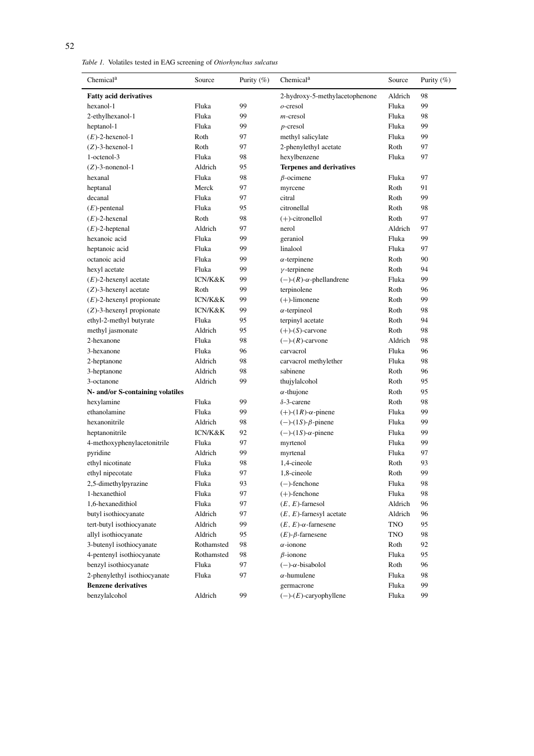*Table 1.* Volatiles tested in EAG screening of *Otiorhynchus sulcatus*

| Chemical <sup>a</sup>            | Source     | Purity $(\%)$ | Chemical <sup>a</sup>                  | Source  | Purity $(\%)$ |
|----------------------------------|------------|---------------|----------------------------------------|---------|---------------|
| <b>Fatty acid derivatives</b>    |            |               | 2-hydroxy-5-methylacetophenone         | Aldrich | 98            |
| hexanol-1                        | Fluka      | 99            | $o$ -cresol                            | Fluka   | 99            |
| 2-ethylhexanol-1                 | Fluka      | 99            | $m$ -cresol                            | Fluka   | 98            |
| heptanol-1                       | Fluka      | 99            | $p$ -cresol                            | Fluka   | 99            |
| $(E)$ -2-hexenol-1               | Roth       | 97            | methyl salicylate                      | Fluka   | 99            |
| $(Z)$ -3-hexenol-1               | Roth       | 97            | 2-phenylethyl acetate                  | Roth    | 97            |
| 1-octenol-3                      | Fluka      | 98            | hexylbenzene                           | Fluka   | 97            |
| $(Z)$ -3-nonenol-1               | Aldrich    | 95            | <b>Terpenes and derivatives</b>        |         |               |
| hexanal                          | Fluka      | 98            | $\beta$ -ocimene                       | Fluka   | 97            |
| heptanal                         | Merck      | 97            | myrcene                                | Roth    | 91            |
| decanal                          | Fluka      | 97            | citral                                 | Roth    | 99            |
| $(E)$ -pentenal                  | Fluka      | 95            | citronellal                            | Roth    | 98            |
| $(E)$ -2-hexenal                 | Roth       | 98            | $(+)$ -citronellol                     | Roth    | 97            |
| $(E)$ -2-heptenal                | Aldrich    | 97            | nerol                                  | Aldrich | 97            |
| hexanoic acid                    | Fluka      | 99            | geraniol                               | Fluka   | 99            |
| heptanoic acid                   | Fluka      | 99            | linalool                               | Fluka   | 97            |
| octanoic acid                    | Fluka      | 99            | $\alpha$ -terpinene                    | Roth    | 90            |
| hexyl acetate                    | Fluka      | 99            | $\gamma$ -terpinene                    | Roth    | 94            |
| $(E)$ -2-hexenyl acetate         | ICN/K&K    | 99            | $(-)$ - $(R)$ - $\alpha$ -phellandrene | Fluka   | 99            |
| $(Z)$ -3-hexenyl acetate         | Roth       | 99            | terpinolene                            | Roth    | 96            |
| $(E)$ -2-hexenyl propionate      | ICN/K&K    | 99            | $(+)$ -limonene                        | Roth    | 99            |
| $(Z)$ -3-hexenyl propionate      | ICN/K&K    | 99            | $\alpha$ -terpineol                    | Roth    | 98            |
| ethyl-2-methyl butyrate          | Fluka      | 95            | terpinyl acetate                       | Roth    | 94            |
| methyl jasmonate                 | Aldrich    | 95            | $(+)$ - $(S)$ -carvone                 | Roth    | 98            |
| 2-hexanone                       | Fluka      | 98            | $(-)$ - $(R)$ -carvone                 | Aldrich | 98            |
| 3-hexanone                       | Fluka      | 96            | carvacrol                              | Fluka   | 96            |
| 2-heptanone                      | Aldrich    | 98            | carvacrol methylether                  | Fluka   | 98            |
| 3-heptanone                      | Aldrich    | 98            | sabinene                               | Roth    | 96            |
| 3-octanone                       | Aldrich    | 99            | thujylalcohol                          | Roth    | 95            |
| N- and/or S-containing volatiles |            |               | $\alpha$ -thujone                      | Roth    | 95            |
| hexylamine                       | Fluka      | 99            | $\delta$ -3-carene                     | Roth    | 98            |
| ethanolamine                     | Fluka      | 99            | $(+)$ - $(1R)$ - $\alpha$ -pinene      | Fluka   | 99            |
| hexanonitrile                    | Aldrich    | 98            | $(-)$ - $(1S)$ - $\beta$ -pinene       | Fluka   | 99            |
| heptanonitrile                   | ICN/K&K    | 92            | $(-)$ - $(1S)$ - $\alpha$ -pinene      | Fluka   | 99            |
| 4-methoxyphenylacetonitrile      | Fluka      | 97            | myrtenol                               | Fluka   | 99            |
| pyridine                         | Aldrich    | 99            | myrtenal                               | Fluka   | 97            |
| ethyl nicotinate                 | Fluka      | 98            | 1.4-cineole                            | Roth    | 93            |
| ethyl nipecotate                 | Fluka      | 97            | 1,8-cineole                            | Roth    | 99            |
| 2,5-dimethylpyrazine             | Fluka      | 93            | $(-)$ -fenchone                        | Fluka   | 98            |
| 1-hexanethiol                    | Fluka      | 97            | $(+)$ -fenchone                        | Fluka   | 98            |
| 1,6-hexanedithiol                | Fluka      | 97            | $(E, E)$ -farnesol                     | Aldrich | 96            |
| butyl isothiocyanate             | Aldrich    | 97            | $(E, E)$ -farnesyl acetate             | Aldrich | 96            |
| tert-butyl isothiocyanate        | Aldrich    | 99            | $(E, E)$ - $\alpha$ -farnesene         | TNO     | 95            |
| allyl isothiocyanate             | Aldrich    | 95            | $(E)$ - $\beta$ -farnesene             | TNO     | 98            |
| 3-butenyl isothiocyanate         | Rothamsted | 98            | $\alpha$ -ionone                       | Roth    | 92            |
| 4-pentenyl isothiocyanate        | Rothamsted | 98            | $\beta$ -ionone                        | Fluka   | 95            |
| benzyl isothiocyanate            | Fluka      | 97            | $(-)$ - $\alpha$ -bisabolol            | Roth    | 96            |
| 2-phenylethyl isothiocyanate     | Fluka      | 97            | $\alpha$ -humulene                     | Fluka   | 98            |
| <b>Benzene derivatives</b>       |            |               | germacrone                             | Fluka   | 99            |
| benzylalcohol                    | Aldrich    | 99            | $(-)$ - $(E)$ -caryophyllene           | Fluka   | 99            |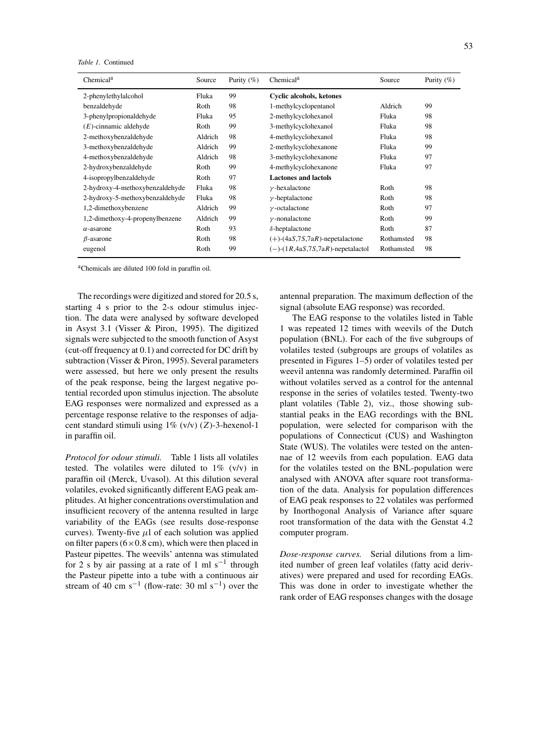*Table 1.* Continued

| Chemical <sup>a</sup>           | Source  | Purity $(\% )$ | Chemical <sup>a</sup>                      | Source     | Purity $(\%)$ |
|---------------------------------|---------|----------------|--------------------------------------------|------------|---------------|
| 2-phenylethylalcohol            | Fluka   | 99             | Cyclic alcohols, ketones                   |            |               |
| benzaldehyde                    | Roth    | 98             | 1-methylcyclopentanol                      | Aldrich    | 99            |
| 3-phenylpropionaldehyde         | Fluka   | 95             | 2-methylcyclohexanol                       | Fluka      | 98            |
| $(E)$ -cinnamic aldehyde        | Roth    | 99             | 3-methylcyclohexanol                       | Fluka      | 98            |
| 2-methoxybenzaldehyde           | Aldrich | 98             | 4-methylcyclohexanol                       | Fluka      | 98            |
| 3-methoxybenzaldehyde           | Aldrich | 99             | 2-methylcyclohexanone                      | Fluka      | 99            |
| 4-methoxybenzaldehyde           | Aldrich | 98             | 3-methylcyclohexanone                      | Fluka      | 97            |
| 2-hydroxybenzaldehyde           | Roth    | 99             | 4-methylcyclohexanone                      | Fluka      | 97            |
| 4-isopropylbenzaldehyde         | Roth    | 97             | <b>Lactones and lactols</b>                |            |               |
| 2-hydroxy-4-methoxybenzaldehyde | Fluka   | 98             | $\nu$ -hexalactone                         | Roth       | 98            |
| 2-hydroxy-5-methoxybenzaldehyde | Fluka   | 98             | $\nu$ -heptalactone                        | Roth       | 98            |
| 1,2-dimethoxybenzene            | Aldrich | 99             | $\nu$ -octalactone                         | Roth       | 97            |
| 1,2-dimethoxy-4-propenylbenzene | Aldrich | 99             | $\nu$ -nonalactone                         | Roth       | 99            |
| $\alpha$ -asarone               | Roth    | 93             | $\delta$ -heptalactone                     | Roth       | 87            |
| $\beta$ -asarone                | Roth    | 98             | $(+)$ - $(4aS,7S,7aR)$ -nepetalactone      | Rothamsted | 98            |
| eugenol                         | Roth    | 99             | $(-)$ - $(1R, 4aS, 7S, 7aR)$ -nepetalactol | Rothamsted | 98            |

aChemicals are diluted 100 fold in paraffin oil.

The recordings were digitized and stored for 20.5 s, starting 4 s prior to the 2-s odour stimulus injection. The data were analysed by software developed in Asyst 3.1 (Visser & Piron, 1995). The digitized signals were subjected to the smooth function of Asyst (cut-off frequency at 0.1) and corrected for DC drift by subtraction (Visser & Piron, 1995). Several parameters were assessed, but here we only present the results of the peak response, being the largest negative potential recorded upon stimulus injection. The absolute EAG responses were normalized and expressed as a percentage response relative to the responses of adjacent standard stimuli using 1% (v/v) (*Z*)-3-hexenol-1 in paraffin oil.

*Protocol for odour stimuli.* Table 1 lists all volatiles tested. The volatiles were diluted to  $1\%$  (v/v) in paraffin oil (Merck, Uvasol). At this dilution several volatiles, evoked significantly different EAG peak amplitudes. At higher concentrations overstimulation and insufficient recovery of the antenna resulted in large variability of the EAGs (see results dose-response curves). Twenty-five  $\mu$ l of each solution was applied on filter papers  $(6 \times 0.8 \text{ cm})$ , which were then placed in Pasteur pipettes. The weevils' antenna was stimulated for 2 s by air passing at a rate of 1 ml s<sup>-1</sup> through the Pasteur pipette into a tube with a continuous air stream of 40 cm s<sup>-1</sup> (flow-rate: 30 ml s<sup>-1</sup>) over the

antennal preparation. The maximum deflection of the signal (absolute EAG response) was recorded.

The EAG response to the volatiles listed in Table 1 was repeated 12 times with weevils of the Dutch population (BNL). For each of the five subgroups of volatiles tested (subgroups are groups of volatiles as presented in Figures 1–5) order of volatiles tested per weevil antenna was randomly determined. Paraffin oil without volatiles served as a control for the antennal response in the series of volatiles tested. Twenty-two plant volatiles (Table 2), viz., those showing substantial peaks in the EAG recordings with the BNL population, were selected for comparison with the populations of Connecticut (CUS) and Washington State (WUS). The volatiles were tested on the antennae of 12 weevils from each population. EAG data for the volatiles tested on the BNL-population were analysed with ANOVA after square root transformation of the data. Analysis for population differences of EAG peak responses to 22 volatiles was performed by Inorthogonal Analysis of Variance after square root transformation of the data with the Genstat 4.2 computer program.

*Dose-response curves.* Serial dilutions from a limited number of green leaf volatiles (fatty acid derivatives) were prepared and used for recording EAGs. This was done in order to investigate whether the rank order of EAG responses changes with the dosage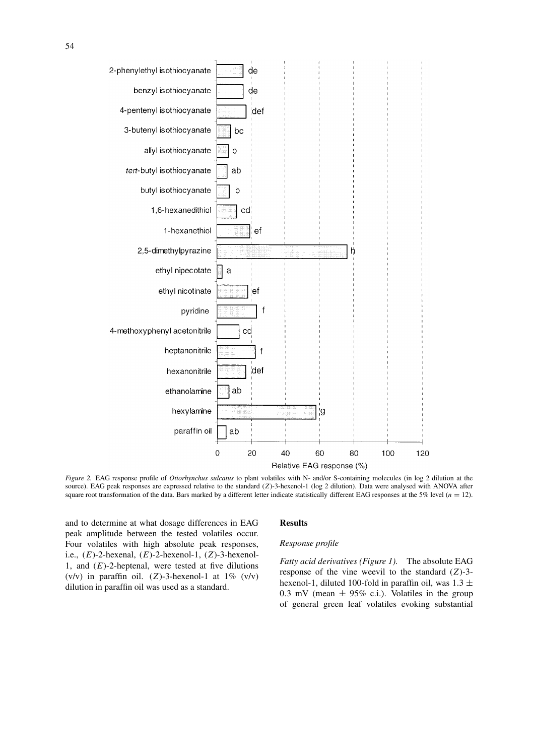

*Figure 2.* EAG response profile of *Otiorhynchus sulcatus* to plant volatiles with N- and/or S-containing molecules (in log 2 dilution at the source). EAG peak responses are expressed relative to the standard (*Z*)-3-hexenol-1 (log 2 dilution). Data were analysed with ANOVA after square root transformation of the data. Bars marked by a different letter indicate statistically different EAG responses at the 5% level (*n* = 12).

and to determine at what dosage differences in EAG peak amplitude between the tested volatiles occur. Four volatiles with high absolute peak responses, i.e., (*E*)-2-hexenal, (*E*)-2-hexenol-1, (*Z*)-3-hexenol-1, and  $(E)$ -2-heptenal, were tested at five dilutions (v/v) in paraffin oil. (*Z*)-3-hexenol-1 at  $1\%$  (v/v) dilution in paraffin oil was used as a standard.

# **Results**

#### *Response profile*

*Fatty acid derivatives (Figure 1).* The absolute EAG response of the vine weevil to the standard (*Z*)-3 hexenol-1, diluted 100-fold in paraffin oil, was 1*.*3 ± 0.3 mV (mean  $\pm$  95% c.i.). Volatiles in the group of general green leaf volatiles evoking substantial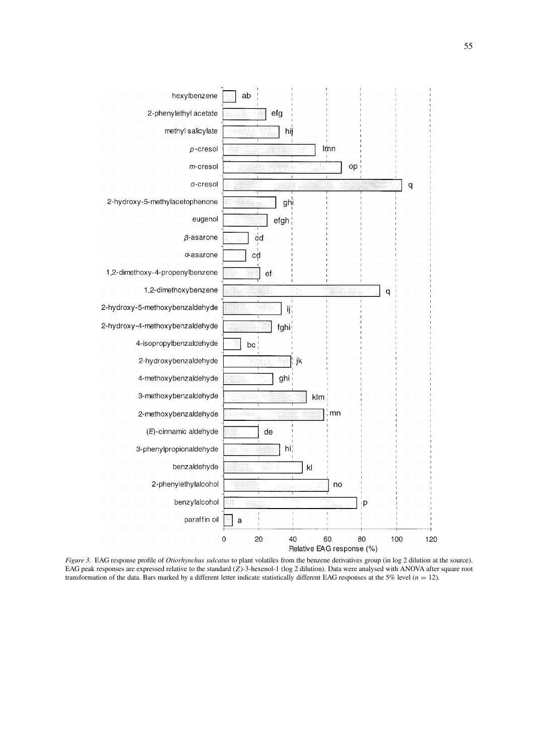

*Figure 3.* EAG response profile of *Otiorhynchus sulcatus* to plant volatiles from the benzene derivatives group (in log 2 dilution at the source). EAG peak responses are expressed relative to the standard (*Z*)-3-hexenol-1 (log 2 dilution). Data were analysed with ANOVA after square root transformation of the data. Bars marked by a different letter indicate statistically different EAG responses at the 5% level  $(n = 12)$ .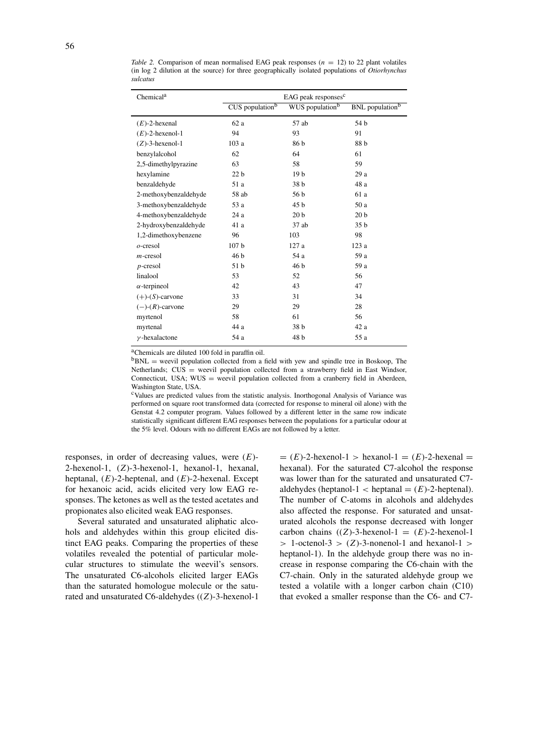| Chemical <sup>a</sup>  | EAG peak responses <sup>c</sup> |                             |                                    |  |  |
|------------------------|---------------------------------|-----------------------------|------------------------------------|--|--|
|                        | CUS population <sup>b</sup>     | WUS population <sup>b</sup> | <b>BNL</b> population <sup>b</sup> |  |  |
| $(E)$ -2-hexenal       | 62a                             | 57 ab                       | 54 b                               |  |  |
| $(E)$ -2-hexenol-1     | 94                              | 93                          | 91                                 |  |  |
| $(Z)$ -3-hexenol-1     | 103a                            | 86 b                        | 88 b                               |  |  |
| benzylalcohol          | 62                              | 64                          | 61                                 |  |  |
| 2,5-dimethylpyrazine   | 63                              | 58                          | 59                                 |  |  |
| hexylamine             | 22 <sub>b</sub>                 | 19 <sub>b</sub>             | 29a                                |  |  |
| benzaldehyde           | 51 a                            | 38 <sub>b</sub>             | 48 a                               |  |  |
| 2-methoxybenzaldehyde  | 58 ab                           | 56 b                        | 61 a                               |  |  |
| 3-methoxybenzaldehyde  | 53 a                            | 45 b                        | 50 a                               |  |  |
| 4-methoxybenzaldehyde  | 24a                             | 20 <sub>b</sub>             | 20 <sub>b</sub>                    |  |  |
| 2-hydroxybenzaldehyde  | 41 a                            | $37$ ab                     | 35 <sub>b</sub>                    |  |  |
| 1,2-dimethoxybenzene   | 96                              | 103                         | 98                                 |  |  |
| $o$ -cresol            | 107 <sub>b</sub>                | 127a                        | 123a                               |  |  |
| $m$ -cresol            | 46 b                            | 54 a                        | 59 a                               |  |  |
| $p$ -cresol            | 51 b                            | 46 b                        | 59 a                               |  |  |
| linalool               | 53                              | 52                          | 56                                 |  |  |
| $\alpha$ -terpineol    | 42                              | 43                          | 47                                 |  |  |
| $(+)$ - $(S)$ -carvone | 33                              | 31                          | 34                                 |  |  |
| $(-)$ - $(R)$ -carvone | 29                              | 29                          | 28                                 |  |  |
| myrtenol               | 58                              | 61                          | 56                                 |  |  |
| myrtenal               | 44 a                            | 38 b                        | 42 a                               |  |  |
| $\gamma$ -hexalactone  | 54 a                            | 48 b                        | 55 a                               |  |  |

*Table 2.* Comparison of mean normalised EAG peak responses  $(n = 12)$  to 22 plant volatiles (in log 2 dilution at the source) for three geographically isolated populations of *Otiorhynchus sulcatus*

<sup>a</sup>Chemicals are diluted 100 fold in paraffin oil.

 ${}^{b}$ BNL = weevil population collected from a field with yew and spindle tree in Boskoop, The Netherlands; CUS = weevil population collected from a strawberry field in East Windsor, Connecticut, USA;  $WUS =$  weevil population collected from a cranberry field in Aberdeen, Washington State, USA.

cValues are predicted values from the statistic analysis. Inorthogonal Analysis of Variance was performed on square root transformed data (corrected for response to mineral oil alone) with the Genstat 4.2 computer program. Values followed by a different letter in the same row indicate statistically significant different EAG responses between the populations for a particular odour at the 5% level. Odours with no different EAGs are not followed by a letter.

responses, in order of decreasing values, were (*E*)- 2-hexenol-1, (*Z*)-3-hexenol-1, hexanol-1, hexanal, heptanal, (*E*)-2-heptenal, and (*E*)-2-hexenal. Except for hexanoic acid, acids elicited very low EAG responses. The ketones as well as the tested acetates and propionates also elicited weak EAG responses.

Several saturated and unsaturated aliphatic alcohols and aldehydes within this group elicited distinct EAG peaks. Comparing the properties of these volatiles revealed the potential of particular molecular structures to stimulate the weevil's sensors. The unsaturated C6-alcohols elicited larger EAGs than the saturated homologue molecule or the saturated and unsaturated C6-aldehydes ((*Z*)-3-hexenol-1  $= (E)$ -2-hexenol-1 > hexanol-1 =  $(E)$ -2-hexenal = hexanal). For the saturated C7-alcohol the response was lower than for the saturated and unsaturated C7 aldehydes (heptanol-1  $\lt$  heptanal  $=(E)$ -2-heptenal). The number of C-atoms in alcohols and aldehydes also affected the response. For saturated and unsaturated alcohols the response decreased with longer carbon chains  $((Z)$ -3-hexenol-1 =  $(E)$ -2-hexenol-1 *>* 1-octenol-3 *>* (*Z*)-3-nonenol-1 and hexanol-1 *>* heptanol-1). In the aldehyde group there was no increase in response comparing the C6-chain with the C7-chain. Only in the saturated aldehyde group we tested a volatile with a longer carbon chain (C10) that evoked a smaller response than the C6- and C7-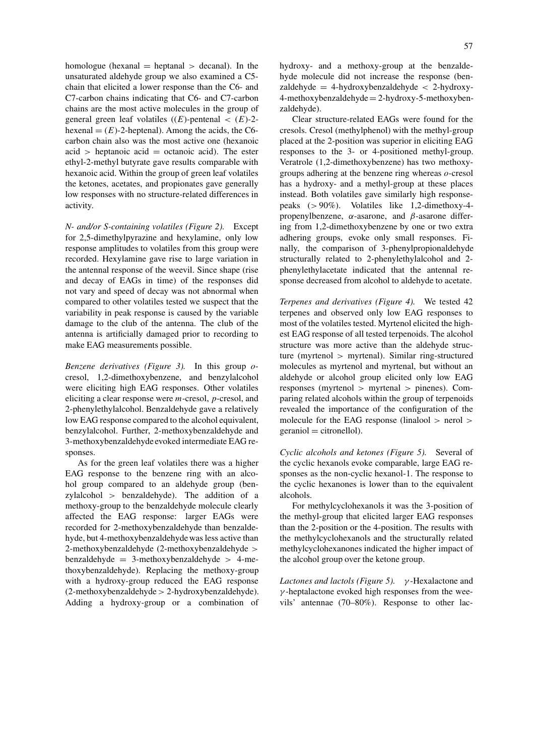homologue (hexanal  $=$  heptanal  $>$  decanal). In the unsaturated aldehyde group we also examined a C5 chain that elicited a lower response than the C6- and C7-carbon chains indicating that C6- and C7-carbon chains are the most active molecules in the group of general green leaf volatiles  $((E)$ -pentenal  $\lt$   $(E)$ -2hexenal  $=(E)$ -2-heptenal). Among the acids, the C6carbon chain also was the most active one (hexanoic  $\alpha$ id > heptanoic  $\alpha$ cid = octanoic  $\alpha$ cid). The ester ethyl-2-methyl butyrate gave results comparable with hexanoic acid. Within the group of green leaf volatiles the ketones, acetates, and propionates gave generally low responses with no structure-related differences in activity.

*N- and/or S-containing volatiles (Figure 2).* Except for 2,5-dimethylpyrazine and hexylamine, only low response amplitudes to volatiles from this group were recorded. Hexylamine gave rise to large variation in the antennal response of the weevil. Since shape (rise and decay of EAGs in time) of the responses did not vary and speed of decay was not abnormal when compared to other volatiles tested we suspect that the variability in peak response is caused by the variable damage to the club of the antenna. The club of the antenna is artificially damaged prior to recording to make EAG measurements possible.

*Benzene derivatives (Figure 3).* In this group *o*cresol, 1,2-dimethoxybenzene, and benzylalcohol were eliciting high EAG responses. Other volatiles eliciting a clear response were *m*-cresol, *p*-cresol, and 2-phenylethylalcohol. Benzaldehyde gave a relatively low EAG response compared to the alcohol equivalent, benzylalcohol. Further, 2-methoxybenzaldehyde and 3-methoxybenzaldehydeevoked intermediate EAG responses.

As for the green leaf volatiles there was a higher EAG response to the benzene ring with an alcohol group compared to an aldehyde group (benzylalcohol *>* benzaldehyde). The addition of a methoxy-group to the benzaldehyde molecule clearly affected the EAG response: larger EAGs were recorded for 2-methoxybenzaldehyde than benzaldehyde, but 4-methoxybenzaldehyde was less active than 2-methoxybenzaldehyde (2-methoxybenzaldehyde *>* benzaldehyde = 3-methoxybenzaldehyde *>* 4-methoxybenzaldehyde). Replacing the methoxy-group with a hydroxy-group reduced the EAG response (2-methoxybenzaldehyde*>* 2-hydroxybenzaldehyde). Adding a hydroxy-group or a combination of hydroxy- and a methoxy-group at the benzaldehyde molecule did not increase the response (benzaldehyde = 4-hydroxybenzaldehyde *<* 2-hydroxy-4-methoxybenzaldehyde= 2-hydroxy-5-methoxybenzaldehyde).

Clear structure-related EAGs were found for the cresols. Cresol (methylphenol) with the methyl-group placed at the 2-position was superior in eliciting EAG responses to the 3- or 4-positioned methyl-group. Veratrole (1,2-dimethoxybenzene) has two methoxygroups adhering at the benzene ring whereas *o*-cresol has a hydroxy- and a methyl-group at these places instead. Both volatiles gave similarly high responsepeaks (*>* 90%). Volatiles like 1,2-dimethoxy-4 propenylbenzene, *α*-asarone, and *β*-asarone differing from 1,2-dimethoxybenzene by one or two extra adhering groups, evoke only small responses. Finally, the comparison of 3-phenylpropionaldehyde structurally related to 2-phenylethylalcohol and 2 phenylethylacetate indicated that the antennal response decreased from alcohol to aldehyde to acetate.

*Terpenes and derivatives (Figure 4).* We tested 42 terpenes and observed only low EAG responses to most of the volatiles tested. Myrtenol elicited the highest EAG response of all tested terpenoids. The alcohol structure was more active than the aldehyde structure (myrtenol *>* myrtenal). Similar ring-structured molecules as myrtenol and myrtenal, but without an aldehyde or alcohol group elicited only low EAG responses (myrtenol *>* myrtenal *>* pinenes). Comparing related alcohols within the group of terpenoids revealed the importance of the configuration of the molecule for the EAG response (linalool *>* nerol *>*  $\gamma$ geraniol  $=$  citronellol).

*Cyclic alcohols and ketones (Figure 5).* Several of the cyclic hexanols evoke comparable, large EAG responses as the non-cyclic hexanol-1. The response to the cyclic hexanones is lower than to the equivalent alcohols.

For methylcyclohexanols it was the 3-position of the methyl-group that elicited larger EAG responses than the 2-position or the 4-position. The results with the methylcyclohexanols and the structurally related methylcyclohexanones indicated the higher impact of the alcohol group over the ketone group.

*Lactones and lactols (Figure 5). γ* -Hexalactone and *γ* -heptalactone evoked high responses from the weevils' antennae (70–80%). Response to other lac-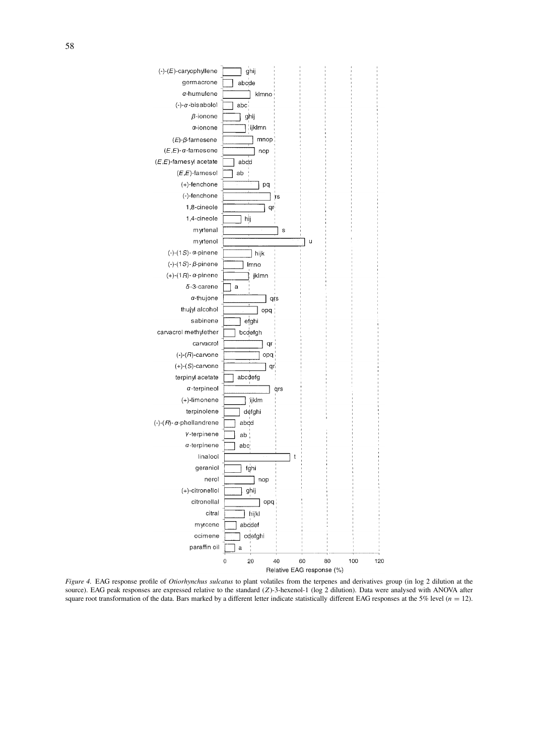

*Figure 4.* EAG response profile of *Otiorhynchus sulcatus* to plant volatiles from the terpenes and derivatives group (in log 2 dilution at the source). EAG peak responses are expressed relative to the standard (*Z*)-3-hexenol-1 (log 2 dilution). Data were analysed with ANOVA after square root transformation of the data. Bars marked by a different letter indicate statistically different EAG responses at the 5% level (*n* = 12).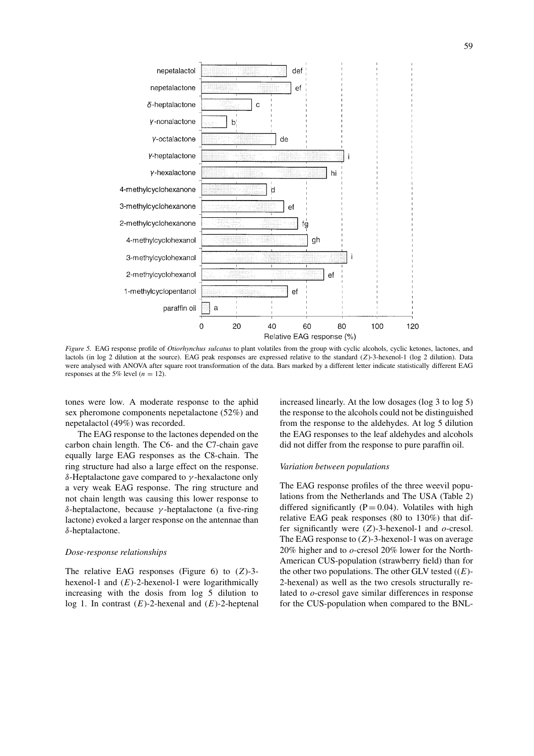

*Figure 5.* EAG response profile of *Otiorhynchus sulcatus* to plant volatiles from the group with cyclic alcohols, cyclic ketones, lactones, and lactols (in log 2 dilution at the source). EAG peak responses are expressed relative to the standard (*Z*)-3-hexenol-1 (log 2 dilution). Data were analysed with ANOVA after square root transformation of the data. Bars marked by a different letter indicate statistically different EAG responses at the 5% level  $(n = 12)$ .

tones were low. A moderate response to the aphid sex pheromone components nepetalactone (52%) and nepetalactol (49%) was recorded.

The EAG response to the lactones depended on the carbon chain length. The C6- and the C7-chain gave equally large EAG responses as the C8-chain. The ring structure had also a large effect on the response. *δ*-Heptalactone gave compared to *γ* -hexalactone only a very weak EAG response. The ring structure and not chain length was causing this lower response to *δ*-heptalactone, because *γ* -heptalactone (a five-ring lactone) evoked a larger response on the antennae than *δ*-heptalactone.

### *Dose-response relationships*

The relative EAG responses (Figure 6) to (*Z*)-3 hexenol-1 and (*E*)-2-hexenol-1 were logarithmically increasing with the dosis from log 5 dilution to log 1. In contrast (*E*)-2-hexenal and (*E*)-2-heptenal increased linearly. At the low dosages (log 3 to log 5) the response to the alcohols could not be distinguished from the response to the aldehydes. At log 5 dilution the EAG responses to the leaf aldehydes and alcohols did not differ from the response to pure paraffin oil.

# *Variation between populations*

The EAG response profiles of the three weevil populations from the Netherlands and The USA (Table 2) differed significantly  $(P = 0.04)$ . Volatiles with high relative EAG peak responses (80 to 130%) that differ significantly were (*Z*)-3-hexenol-1 and *o*-cresol. The EAG response to (*Z*)-3-hexenol-1 was on average 20% higher and to *o*-cresol 20% lower for the North-American CUS-population (strawberry field) than for the other two populations. The other GLV tested  $((E)$ -2-hexenal) as well as the two cresols structurally related to *o*-cresol gave similar differences in response for the CUS-population when compared to the BNL-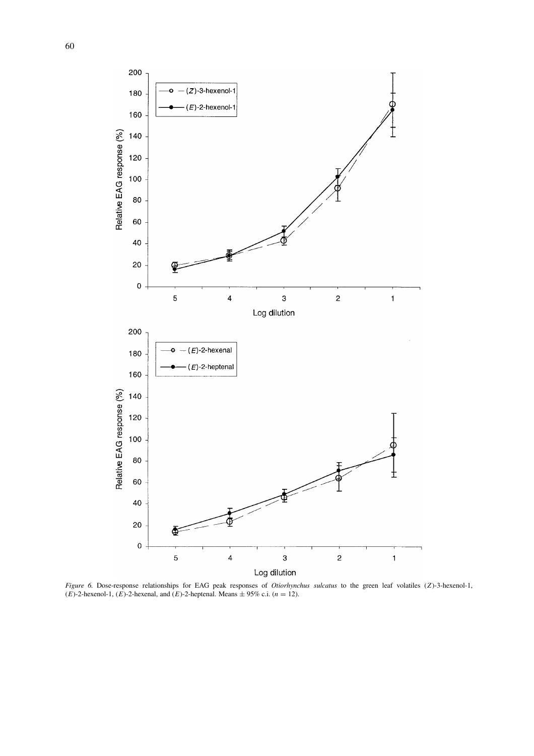

*Figure 6.* Dose-response relationships for EAG peak responses of *Otiorhynchus sulcatus* to the green leaf volatiles (*Z*)-3-hexenol-1,  $(E)$ -2-hexenol-1,  $(E)$ -2-hexenal, and  $(E)$ -2-heptenal. Means  $\pm$  95% c.i.  $(n = 12)$ .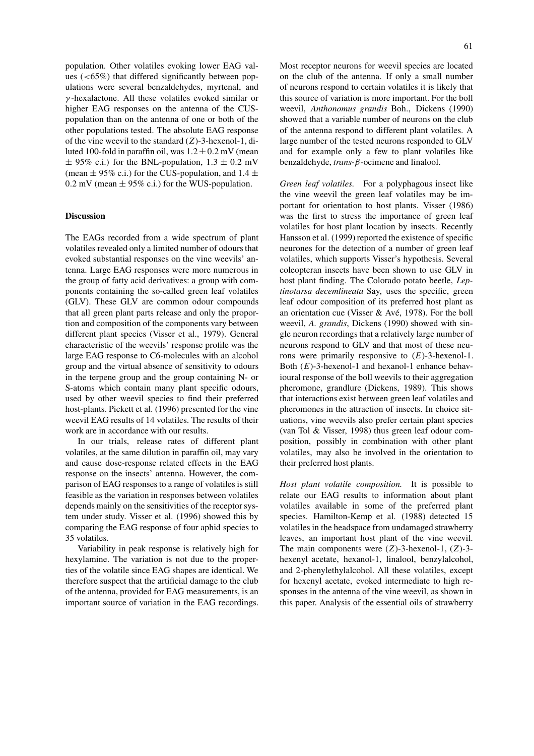population. Other volatiles evoking lower EAG values (*<*65%) that differed significantly between populations were several benzaldehydes, myrtenal, and *γ* -hexalactone. All these volatiles evoked similar or higher EAG responses on the antenna of the CUSpopulation than on the antenna of one or both of the other populations tested. The absolute EAG response of the vine weevil to the standard (*Z*)-3-hexenol-1, diluted 100-fold in paraffin oil, was  $1.2 \pm 0.2$  mV (mean  $\pm$  95% c.i.) for the BNL-population,  $1.3 \pm 0.2$  mV (mean  $\pm$  95% c.i.) for the CUS-population, and 1.4  $\pm$  $0.2 \text{ mV}$  (mean  $\pm 95\%$  c.i.) for the WUS-population.

#### **Discussion**

The EAGs recorded from a wide spectrum of plant volatiles revealed only a limited number of odours that evoked substantial responses on the vine weevils' antenna. Large EAG responses were more numerous in the group of fatty acid derivatives: a group with components containing the so-called green leaf volatiles (GLV). These GLV are common odour compounds that all green plant parts release and only the proportion and composition of the components vary between different plant species (Visser et al., 1979). General characteristic of the weevils' response profile was the large EAG response to C6-molecules with an alcohol group and the virtual absence of sensitivity to odours in the terpene group and the group containing N- or S-atoms which contain many plant specific odours, used by other weevil species to find their preferred host-plants. Pickett et al. (1996) presented for the vine weevil EAG results of 14 volatiles. The results of their work are in accordance with our results.

In our trials, release rates of different plant volatiles, at the same dilution in paraffin oil, may vary and cause dose-response related effects in the EAG response on the insects' antenna. However, the comparison of EAG responses to a range of volatiles is still feasible as the variation in responses between volatiles depends mainly on the sensitivities of the receptor system under study. Visser et al. (1996) showed this by comparing the EAG response of four aphid species to 35 volatiles.

Variability in peak response is relatively high for hexylamine. The variation is not due to the properties of the volatile since EAG shapes are identical. We therefore suspect that the artificial damage to the club of the antenna, provided for EAG measurements, is an important source of variation in the EAG recordings.

Most receptor neurons for weevil species are located on the club of the antenna. If only a small number of neurons respond to certain volatiles it is likely that this source of variation is more important. For the boll weevil, *Anthonomus grandis* Boh., Dickens (1990) showed that a variable number of neurons on the club of the antenna respond to different plant volatiles. A large number of the tested neurons responded to GLV and for example only a few to plant volatiles like benzaldehyde, *trans*-*β*-ocimene and linalool.

*Green leaf volatiles.* For a polyphagous insect like the vine weevil the green leaf volatiles may be important for orientation to host plants. Visser (1986) was the first to stress the importance of green leaf volatiles for host plant location by insects. Recently Hansson et al. (1999) reported the existence of specific neurones for the detection of a number of green leaf volatiles, which supports Visser's hypothesis. Several coleopteran insects have been shown to use GLV in host plant finding. The Colorado potato beetle, *Leptinotarsa decemlineata* Say, uses the specific, green leaf odour composition of its preferred host plant as an orientation cue (Visser & Avé, 1978). For the boll weevil, *A. grandis*, Dickens (1990) showed with single neuron recordings that a relatively large number of neurons respond to GLV and that most of these neurons were primarily responsive to (*E*)-3-hexenol-1. Both (*E*)-3-hexenol-1 and hexanol-1 enhance behavioural response of the boll weevils to their aggregation pheromone, grandlure (Dickens, 1989). This shows that interactions exist between green leaf volatiles and pheromones in the attraction of insects. In choice situations, vine weevils also prefer certain plant species (van Tol & Visser, 1998) thus green leaf odour composition, possibly in combination with other plant volatiles, may also be involved in the orientation to their preferred host plants.

*Host plant volatile composition.* It is possible to relate our EAG results to information about plant volatiles available in some of the preferred plant species. Hamilton-Kemp et al. (1988) detected 15 volatiles in the headspace from undamaged strawberry leaves, an important host plant of the vine weevil. The main components were (*Z*)-3-hexenol-1, (*Z*)-3 hexenyl acetate, hexanol-1, linalool, benzylalcohol, and 2-phenylethylalcohol. All these volatiles, except for hexenyl acetate, evoked intermediate to high responses in the antenna of the vine weevil, as shown in this paper. Analysis of the essential oils of strawberry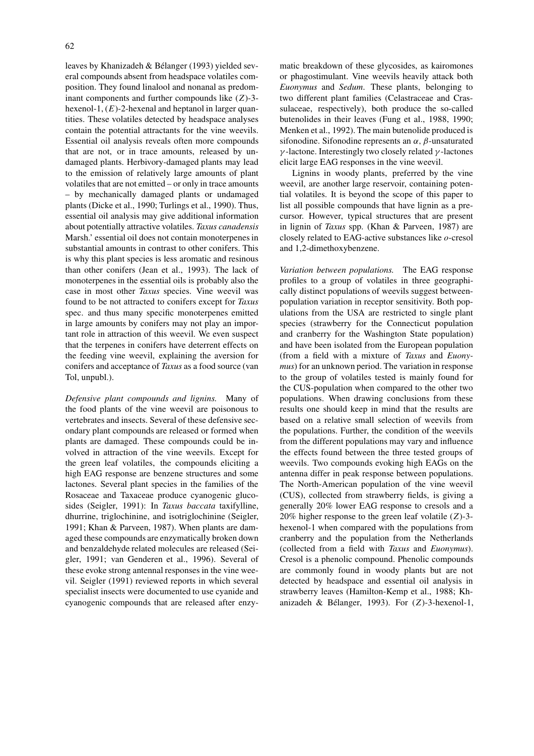leaves by Khanizadeh & Bélanger (1993) yielded several compounds absent from headspace volatiles composition. They found linalool and nonanal as predominant components and further compounds like (*Z*)-3 hexenol-1, (*E*)-2-hexenal and heptanol in larger quantities. These volatiles detected by headspace analyses contain the potential attractants for the vine weevils. Essential oil analysis reveals often more compounds that are not, or in trace amounts, released by undamaged plants. Herbivory-damaged plants may lead to the emission of relatively large amounts of plant volatiles that are not emitted – or only in trace amounts – by mechanically damaged plants or undamaged plants (Dicke et al., 1990; Turlings et al., 1990). Thus, essential oil analysis may give additional information about potentially attractive volatiles. *Taxus canadensis* Marsh.' essential oil does not contain monoterpenes in substantial amounts in contrast to other conifers. This is why this plant species is less aromatic and resinous than other conifers (Jean et al., 1993). The lack of monoterpenes in the essential oils is probably also the case in most other *Taxus* species. Vine weevil was found to be not attracted to conifers except for *Taxus* spec. and thus many specific monoterpenes emitted in large amounts by conifers may not play an important role in attraction of this weevil. We even suspect that the terpenes in conifers have deterrent effects on the feeding vine weevil, explaining the aversion for conifers and acceptance of *Taxus* as a food source (van Tol, unpubl.).

*Defensive plant compounds and lignins.* Many of the food plants of the vine weevil are poisonous to vertebrates and insects. Several of these defensive secondary plant compounds are released or formed when plants are damaged. These compounds could be involved in attraction of the vine weevils. Except for the green leaf volatiles, the compounds eliciting a high EAG response are benzene structures and some lactones. Several plant species in the families of the Rosaceae and Taxaceae produce cyanogenic glucosides (Seigler, 1991): In *Taxus baccata* taxifylline, dhurrine, triglochinine, and isotriglochinine (Seigler, 1991; Khan & Parveen, 1987). When plants are damaged these compounds are enzymatically broken down and benzaldehyde related molecules are released (Seigler, 1991; van Genderen et al., 1996). Several of these evoke strong antennal responses in the vine weevil. Seigler (1991) reviewed reports in which several specialist insects were documented to use cyanide and cyanogenic compounds that are released after enzymatic breakdown of these glycosides, as kairomones or phagostimulant. Vine weevils heavily attack both *Euonymus* and *Sedum*. These plants, belonging to two different plant families (Celastraceae and Crassulaceae, respectively), both produce the so-called butenolides in their leaves (Fung et al., 1988, 1990; Menken et al., 1992). The main butenolide produced is sifonodine. Sifonodine represents an *α, β*-unsaturated *γ* -lactone. Interestingly two closely related *γ* -lactones elicit large EAG responses in the vine weevil.

Lignins in woody plants, preferred by the vine weevil, are another large reservoir, containing potential volatiles. It is beyond the scope of this paper to list all possible compounds that have lignin as a precursor. However, typical structures that are present in lignin of *Taxus* spp. (Khan & Parveen, 1987) are closely related to EAG-active substances like *o*-cresol and 1,2-dimethoxybenzene.

*Variation between populations.* The EAG response profiles to a group of volatiles in three geographically distinct populations of weevils suggest betweenpopulation variation in receptor sensitivity. Both populations from the USA are restricted to single plant species (strawberry for the Connecticut population and cranberry for the Washington State population) and have been isolated from the European population (from a field with a mixture of *Taxus* and *Euonymus*) for an unknown period. The variation in response to the group of volatiles tested is mainly found for the CUS-population when compared to the other two populations. When drawing conclusions from these results one should keep in mind that the results are based on a relative small selection of weevils from the populations. Further, the condition of the weevils from the different populations may vary and influence the effects found between the three tested groups of weevils. Two compounds evoking high EAGs on the antenna differ in peak response between populations. The North-American population of the vine weevil (CUS), collected from strawberry fields, is giving a generally 20% lower EAG response to cresols and a 20% higher response to the green leaf volatile (*Z*)-3 hexenol-1 when compared with the populations from cranberry and the population from the Netherlands (collected from a field with *Taxus* and *Euonymus*). Cresol is a phenolic compound. Phenolic compounds are commonly found in woody plants but are not detected by headspace and essential oil analysis in strawberry leaves (Hamilton-Kemp et al., 1988; Khanizadeh & Bélanger, 1993). For (*Z*)-3-hexenol-1,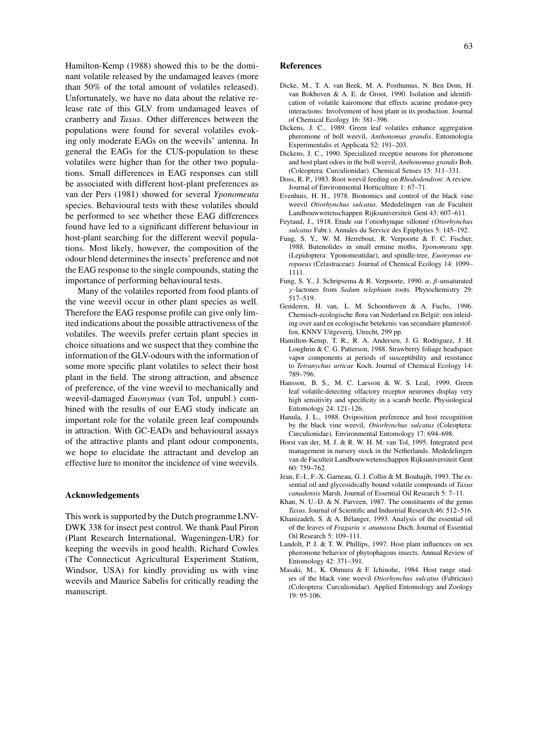Hamilton-Kemp (1988) showed this to be the dominant volatile released by the undamaged leaves (more than 50% of the total amount of volatiles released). Unfortunately, we have no data about the relative release rate of this GLV from undamaged leaves of cranberry and *Taxus*. Other differences between the populations were found for several volatiles evoking only moderate EAGs on the weevils' antenna. In general the EAGs for the CUS-population to these volatiles were higher than for the other two populations. Small differences in EAG responses can still be associated with different host-plant preferences as van der Pers (1981) showed for several *Yponomeuta* species. Behavioural tests with these volatiles should be performed to see whether these EAG differences found have led to a significant different behaviour in host-plant searching for the different weevil populations. Most likely, however, the composition of the odour blend determines the insects' preference and not the EAG response to the single compounds, stating the importance of performing behavioural tests.

Many of the volatiles reported from food plants of the vine weevil occur in other plant species as well. Therefore the EAG response profile can give only limited indications about the possible attractiveness of the volatiles. The weevils prefer certain plant species in choice situations and we suspect that they combine the information of the GLV-odours with the information of some more specific plant volatiles to select their host plant in the field. The strong attraction, and absence of preference, of the vine weevil to mechanically and weevil-damaged *Euonymus* (van Tol, unpubl.) combined with the results of our EAG study indicate an important role for the volatile green leaf compounds in attraction. With GC-EADs and behavioural assays of the attractive plants and plant odour components, we hope to elucidate the attractant and develop an effective lure to monitor the incidence of vine weevils.

## **Acknowledgements**

This work is supported by the Dutch programme LNV-DWK 338 for insect pest control. We thank Paul Piron (Plant Research International, Wageningen-UR) for keeping the weevils in good health, Richard Cowles (The Connecticut Agricultural Experiment Station, Windsor, USA) for kindly providing us with vine weevils and Maurice Sabelis for critically reading the manuscript.

## **References**

- Dicke, M., T. A. van Beek, M. A. Posthumus, N. Ben Dom, H. van Bokhoven & A. E. de Groot, 1990. Isolation and identification of volatile kairomone that effects acarine predator-prey interactions: Involvement of host plant in its production. Journal of Chemical Ecology 16: 381–396.
- Dickens, J. C., 1989. Green leaf volatiles enhance aggregation pheromone of boll weevil, *Anthonomus grandis*. Entomologia Experimentalis et Applicata 52: 191–203.
- Dickens, J. C., 1990. Specialized receptor neurons for pheromone and host plant odors in the boll weevil, *Anthonomus grandis* Boh. (Coleoptera: Curculionidae). Chemical Senses 15: 311–331.
- Doss, R. P., 1983. Root weevil feeding on *Rhododendron*: A review. Journal of Environmental Horticulture 1: 67–71.
- Evenhuis, H. H., 1978. Bionomics and control of the black vine weevil *Otiorhynchus sulcatus*. Mededelingen van de Faculteit Landbouwwetenschappen Rijksuniversiteit Gent 43: 607–611.
- Feytaud, J., 1918. Etude sur l'otiorhynque sillonné (*Otiorhynchus sulcatus* Fabr.). Annales du Service des Epiphyties 5: 145–192.
- Fung, S. Y., W. M. Herrebout, R. Verpoorte & F. C. Fischer, 1988. Butenolides in small ermine moths, *Yponomeuta* spp. (Lepidoptera: Yponomeutidae), and spindle-tree, *Euonymus europaeus* (Celastraceae). Journal of Chemical Ecology 14: 1099– 1111.
- Fung, S. Y., J. Schripsema & R. Verpoorte, 1990. *α, β*-unsaturated *γ* -lactones from *Sedum telephium* roots. Phytochemistry 29: 517–519.
- Genderen, H. van, L. M. Schoonhoven & A. Fuchs, 1996. Chemisch-ecologische flora van Nederland en België: een inleiding over aard en ecologische betekenis van secundaire plantestoffen, KNNV Uitgeverij, Utrecht, 299 pp.
- Hamilton-Kemp, T. R., R. A. Andersen, J. G. Rodriguez, J. H. Loughrin & C. G. Patterson, 1988. Strawberry foliage headspace vapor components at periods of susceptibility and resistance to *Tetranychus urticae* Koch. Journal of Chemical Ecology 14: 789–796.
- Hansson, B. S., M. C. Larsson & W. S. Leal, 1999. Green leaf volatile-detecting olfactory receptor neurones display very high sensitivity and specificity in a scarab beetle. Physiological Entomology 24: 121–126.
- Hanula, J. L., 1988. Oviposition preference and host recognition by the black vine weevil, *Otiorhynchus sulcatus* (Coleoptera: Curculionidae). Environmental Entomology 17: 694–698.
- Horst van der, M. J. & R. W. H. M. van Tol, 1995. Integrated pest management in nursery stock in the Netherlands. Mededelingen van de Faculteit Landbouwwetenschappen Rijksuniversiteit Gent 60: 759–762.
- Jean, F.-I., F.-X. Garneau, G. J. Collin & M. Bouhajib, 1993. The essential oil and glycosidically bound volatile compounds of *Taxus canadensis* Marsh. Journal of Essential Oil Research 5: 7–11.
- Khan, N. U.-D. & N. Parveen, 1987. The constituents of the genus *Taxus*. Journal of Scientific and Industrial Research 46: 512–516.
- Khanizadeh, S. & A. Bélanger, 1993. Analysis of the essential oil of the leaves of *Fragaria* × *ananassa* Duch. Journal of Essential Oil Research 5: 109–111.
- Landolt, P. J. & T. W. Phillips, 1997. Host plant influences on sex pheromone behavior of phytophagous insects. Annual Review of Entomology 42: 371–391.
- Masaki, M., K. Ohmura & F. Ichinohe, 1984. Host range studies of the black vine weevil *Otiorhynchus sulcatus* (Fabricius) (Coleoptera: Curculionidae). Applied Entomology and Zoology 19: 95-106.